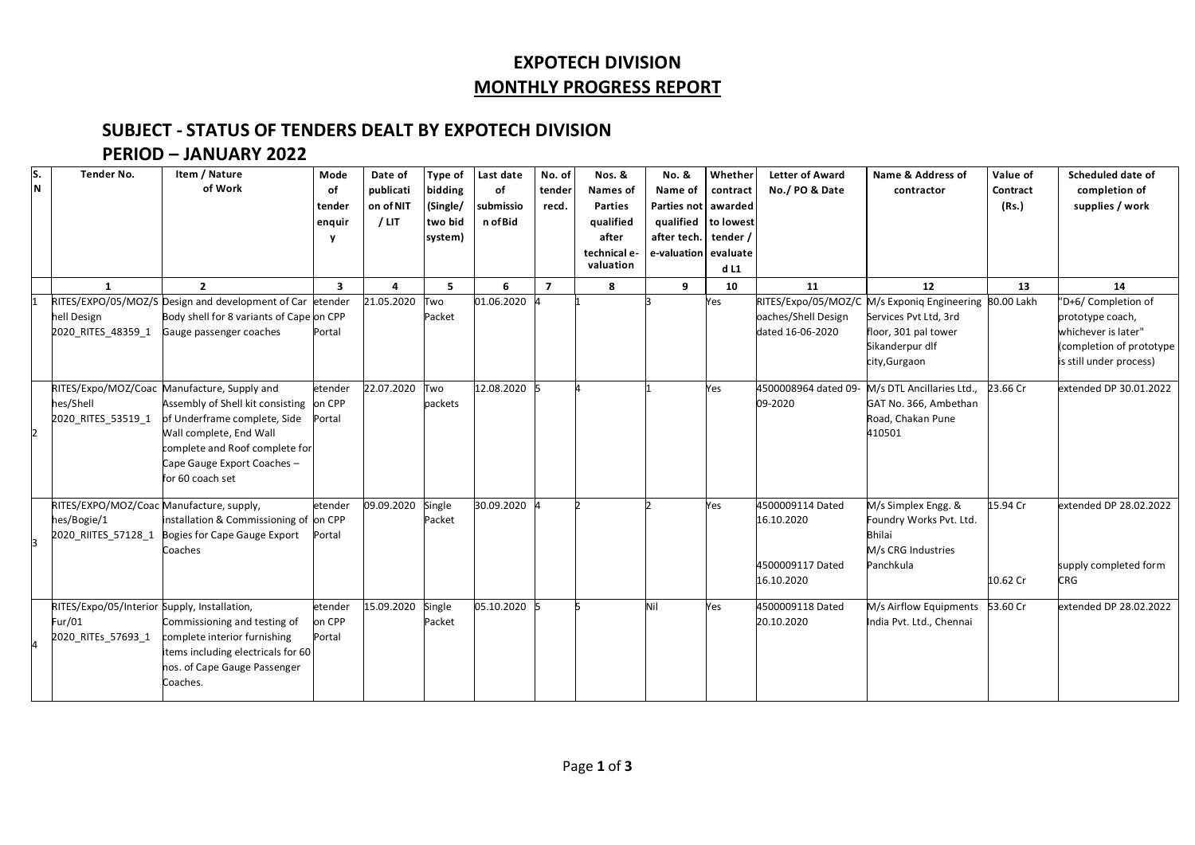### **EXPOTECH DIVISION MONTHLY PROGRESS REPORT**

### **SUBJECT - STATUS OF TENDERS DEALT BY EXPOTECH DIVISION**

#### **PERIOD – JANUARY 2022**

| s.<br>N | <b>Tender No.</b>                                                              | Item / Nature<br>of Work                                                                                                                                                                                    | Mode<br>of<br>tender<br>enquir | Date of<br>publicati<br>on of NIT<br>$/$ LIT | Type of<br>bidding<br>(Single/<br>two bid<br>system) | Last date<br>of<br>submissio<br>n of Bid | No. of<br>tender<br>recd. | Nos. &<br>Names of<br><b>Parties</b><br>qualified<br>after<br>technical e-<br>valuation | No. &<br>Name of<br>Parties not   awarded<br>qualified to lowest<br>after tech. tender /<br>e-valuation evaluate | Whether<br>contract<br>dL1 | <b>Letter of Award</b><br>No./ PO & Date                         | Name & Address of<br>contractor                                                                                                             | Value of<br>Contract<br>(Rs.) | Scheduled date of<br>completion of<br>supplies / work                                                                 |
|---------|--------------------------------------------------------------------------------|-------------------------------------------------------------------------------------------------------------------------------------------------------------------------------------------------------------|--------------------------------|----------------------------------------------|------------------------------------------------------|------------------------------------------|---------------------------|-----------------------------------------------------------------------------------------|------------------------------------------------------------------------------------------------------------------|----------------------------|------------------------------------------------------------------|---------------------------------------------------------------------------------------------------------------------------------------------|-------------------------------|-----------------------------------------------------------------------------------------------------------------------|
|         | $\mathbf{1}$                                                                   | $\overline{2}$                                                                                                                                                                                              | $\overline{\mathbf{3}}$        | 4                                            | 5                                                    | 6                                        | $\overline{7}$            | 8                                                                                       | 9                                                                                                                | 10                         | 11                                                               | 12                                                                                                                                          | 13                            | 14                                                                                                                    |
|         | hell Design<br>2020 RITES 48359 1                                              | RITES/EXPO/05/MOZ/S Design and development of Car etender<br>Body shell for 8 variants of Cape on CPP<br>Gauge passenger coaches                                                                            | Portal                         | 21.05.2020                                   | Two<br>Packet                                        | 01.06.2020                               |                           |                                                                                         |                                                                                                                  | Yes                        | oaches/Shell Design<br>dated 16-06-2020                          | RITES/Expo/05/MOZ/C M/s Exponiq Engineering 80.00 Lakh<br>Services Pvt Ltd, 3rd<br>floor, 301 pal tower<br>Sikanderpur dlf<br>city, Gurgaon |                               | "D+6/ Completion of<br>prototype coach,<br>whichever is later"<br>(completion of prototype<br>is still under process) |
| 2       | RITES/Expo/MOZ/Coac<br>hes/Shell<br>2020 RITES 53519 1                         | Manufacture, Supply and<br>Assembly of Shell kit consisting<br>of Underframe complete, Side<br>Wall complete, End Wall<br>complete and Roof complete for<br>Cape Gauge Export Coaches -<br>for 60 coach set | etender<br>on CPP<br>Portal    | 22.07.2020                                   | Two<br>packets                                       | 12.08.2020                               |                           |                                                                                         |                                                                                                                  | Yes                        | 4500008964 dated 09-<br>09-2020                                  | M/s DTL Ancillaries Ltd.,<br>GAT No. 366, Ambethan<br>Road, Chakan Pune<br>410501                                                           | 23.66 Cr                      | extended DP 30.01.2022                                                                                                |
|         | RITES/EXPO/MOZ/Coac Manufacture, supply,<br>hes/Bogie/1<br>2020 RIITES 57128 1 | installation & Commissioning of on CPP<br>Bogies for Cape Gauge Export<br>Coaches                                                                                                                           | etender<br>Portal              | 09.09.2020                                   | Single<br>Packet                                     | 30.09.2020                               |                           |                                                                                         |                                                                                                                  | Yes                        | 4500009114 Dated<br>16.10.2020<br>4500009117 Dated<br>16.10.2020 | M/s Simplex Engg. &<br>Foundry Works Pvt. Ltd.<br><b>Bhilai</b><br>M/s CRG Industries<br>Panchkula                                          | 15.94 Cr<br>10.62 Cr          | extended DP 28.02.2022<br>supply completed form<br><b>CRG</b>                                                         |
|         | RITES/Expo/05/Interior Supply, Installation,<br>Fur/01<br>2020 RITEs 57693 1   | Commissioning and testing of<br>complete interior furnishing<br>items including electricals for 60<br>nos. of Cape Gauge Passenger<br>Coaches.                                                              | etender<br>on CPP<br>Portal    | 15.09.2020                                   | Single<br>Packet                                     | 05.10.2020                               |                           |                                                                                         | Nil                                                                                                              | Yes                        | 4500009118 Dated<br>20.10.2020                                   | M/s Airflow Equipments<br>India Pvt. Ltd., Chennai                                                                                          | 53.60 Cr                      | extended DP 28.02.2022                                                                                                |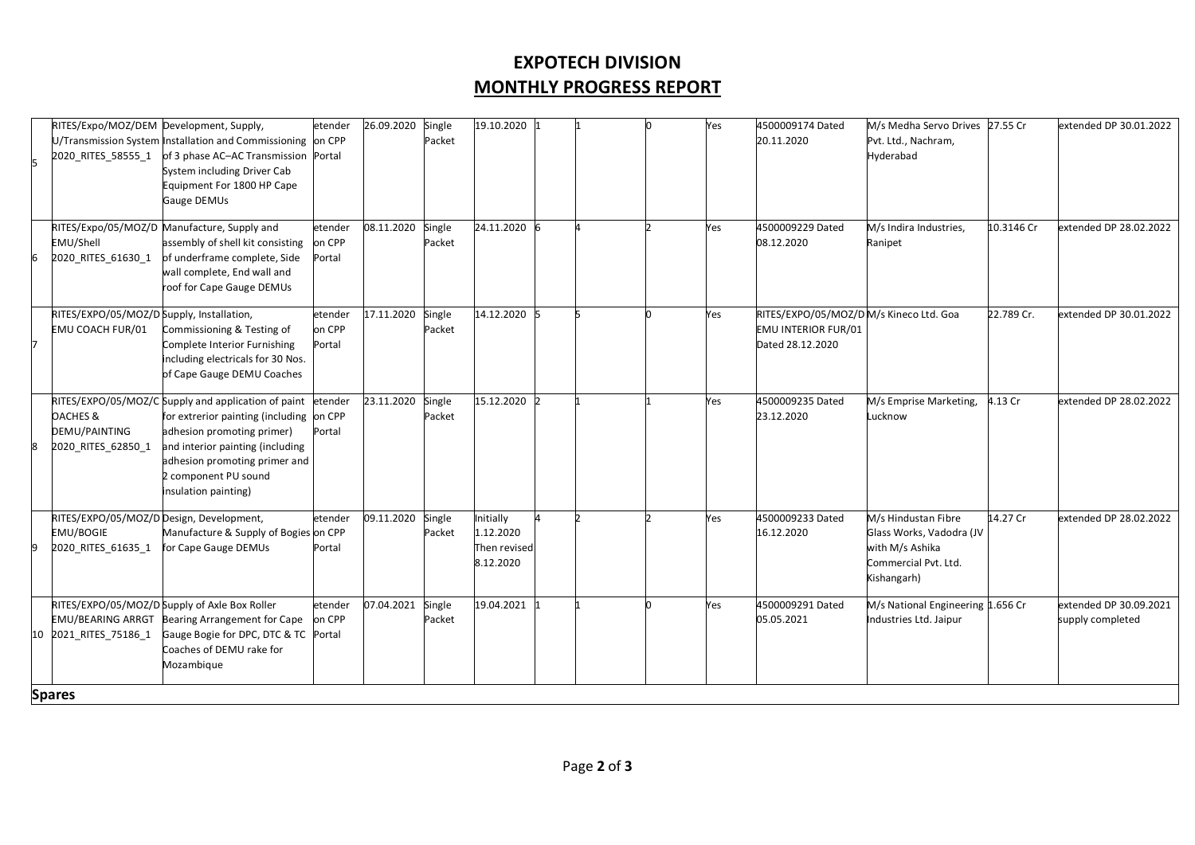## **EXPOTECH DIVISION MONTHLY PROGRESS REPORT**

|    | RITES/Expo/MOZ/DEM Development, Supply,<br>2020 RITES 58555 1               | U/Transmission System Installation and Commissioning on CPP<br>of 3 phase AC-AC Transmission Portal<br>System including Driver Cab<br>Equipment For 1800 HP Cape<br>Gauge DEMUs                                                                    | etender                     | 26.09.2020 | Single<br>Packet | 19.10.2020 1                                        |  | Yes | 4500009174 Dated<br>20.11.2020                                                           | M/s Medha Servo Drives<br>Pvt. Ltd., Nachram,<br>Hyderabad                                                | 27.55 Cr   | extended DP 30.01.2022                     |
|----|-----------------------------------------------------------------------------|----------------------------------------------------------------------------------------------------------------------------------------------------------------------------------------------------------------------------------------------------|-----------------------------|------------|------------------|-----------------------------------------------------|--|-----|------------------------------------------------------------------------------------------|-----------------------------------------------------------------------------------------------------------|------------|--------------------------------------------|
|    | EMU/Shell<br>2020 RITES 61630 1                                             | RITES/Expo/05/MOZ/D Manufacture, Supply and<br>assembly of shell kit consisting<br>of underframe complete, Side<br>wall complete, End wall and<br>roof for Cape Gauge DEMUs                                                                        | etender<br>on CPP<br>Portal | 08.11.2020 | Single<br>Packet | 24.11.2020                                          |  | Yes | 4500009229 Dated<br>08.12.2020                                                           | M/s Indira Industries,<br>Ranipet                                                                         | 10.3146 Cr | extended DP 28.02.2022                     |
|    | RITES/EXPO/05/MOZ/D Supply, Installation,<br>EMU COACH FUR/01               | Commissioning & Testing of<br>Complete Interior Furnishing<br>including electricals for 30 Nos.<br>of Cape Gauge DEMU Coaches                                                                                                                      | etender<br>on CPP<br>Portal | 17.11.2020 | Single<br>Packet | 14.12.2020                                          |  | Yes | RITES/EXPO/05/MOZ/DM/s Kineco Ltd. Goa<br><b>EMU INTERIOR FUR/01</b><br>Dated 28.12.2020 |                                                                                                           | 22.789 Cr. | extended DP 30.01.2022                     |
|    | <b>OACHES &amp;</b><br>DEMU/PAINTING<br>2020 RITES 62850 1                  | RITES/EXPO/05/MOZ/C Supply and application of paint<br>for extrerior painting (including on CPP<br>adhesion promoting primer)<br>and interior painting (including<br>adhesion promoting primer and<br>2 component PU sound<br>insulation painting) | etender<br>Portal           | 23.11.2020 | Single<br>Packet | 15.12.2020                                          |  | Yes | 4500009235 Dated<br>23.12.2020                                                           | M/s Emprise Marketing,<br>Lucknow                                                                         | 4.13 Cr    | extended DP 28.02.2022                     |
|    | RITES/EXPO/05/MOZ/D Design, Development,<br>EMU/BOGIE<br>2020 RITES 61635 1 | Manufacture & Supply of Bogies on CPP<br>for Cape Gauge DEMUs                                                                                                                                                                                      | etender<br>Portal           | 09.11.2020 | Single<br>Packet | Initially<br>1.12.2020<br>Then revised<br>8.12.2020 |  | Yes | 4500009233 Dated<br>16.12.2020                                                           | M/s Hindustan Fibre<br>Glass Works, Vadodra (JV<br>with M/s Ashika<br>Commercial Pvt. Ltd.<br>Kishangarh) | 14.27 Cr   | extended DP 28.02.2022                     |
| 10 | <b>EMU/BEARING ARRGT</b><br>2021_RITES_75186_1                              | RITES/EXPO/05/MOZ/D Supply of Axle Box Roller<br>Bearing Arrangement for Cape<br>Gauge Bogie for DPC, DTC & TC Portal<br>Coaches of DEMU rake for<br>Mozambique                                                                                    | etender<br>on CPP           | 07.04.2021 | Single<br>Packet | 19.04.2021                                          |  | Yes | 4500009291 Dated<br>05.05.2021                                                           | M/s National Engineering 1.656 Cr<br>Industries Ltd. Jaipur                                               |            | extended DP 30.09.2021<br>supply completed |
|    | <b>Spares</b>                                                               |                                                                                                                                                                                                                                                    |                             |            |                  |                                                     |  |     |                                                                                          |                                                                                                           |            |                                            |